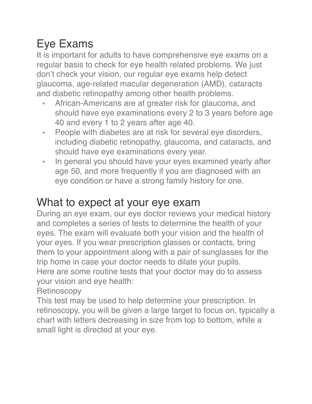## Eye Exams

It is important for adults to have comprehensive eye exams on a regular basis to check for eye health related problems. We just don't check your vision, our regular eye exams help detect glaucoma, age-related macular degeneration (AMD), cataracts and diabetic retinopathy among other health problems.

- African-Americans are at greater risk for glaucoma, and should have eye examinations every 2 to 3 years before age 40 and every 1 to 2 years after age 40.
- People with diabetes are at risk for several eye disorders, including diabetic retinopathy, glaucoma, and cataracts, and should have eye examinations every year.
- In general you should have your eyes examined yearly after age 50, and more frequently if you are diagnosed with an eye condition or have a strong family history for one.

## What to expect at your eye exam

During an eye exam, our eye doctor reviews your medical history and completes a series of tests to determine the health of your eyes. The exam will evaluate both your vision and the health of your eyes. If you wear prescription glasses or contacts, bring them to your appointment along with a pair of sunglasses for the trip home in case your doctor needs to dilate your pupils. Here are some routine tests that your doctor may do to assess your vision and eye health:

**Retinoscopy** 

This test may be used to help determine your prescription. In retinoscopy, you will be given a large target to focus on, typically a chart with letters decreasing in size from top to bottom, while a small light is directed at your eye.